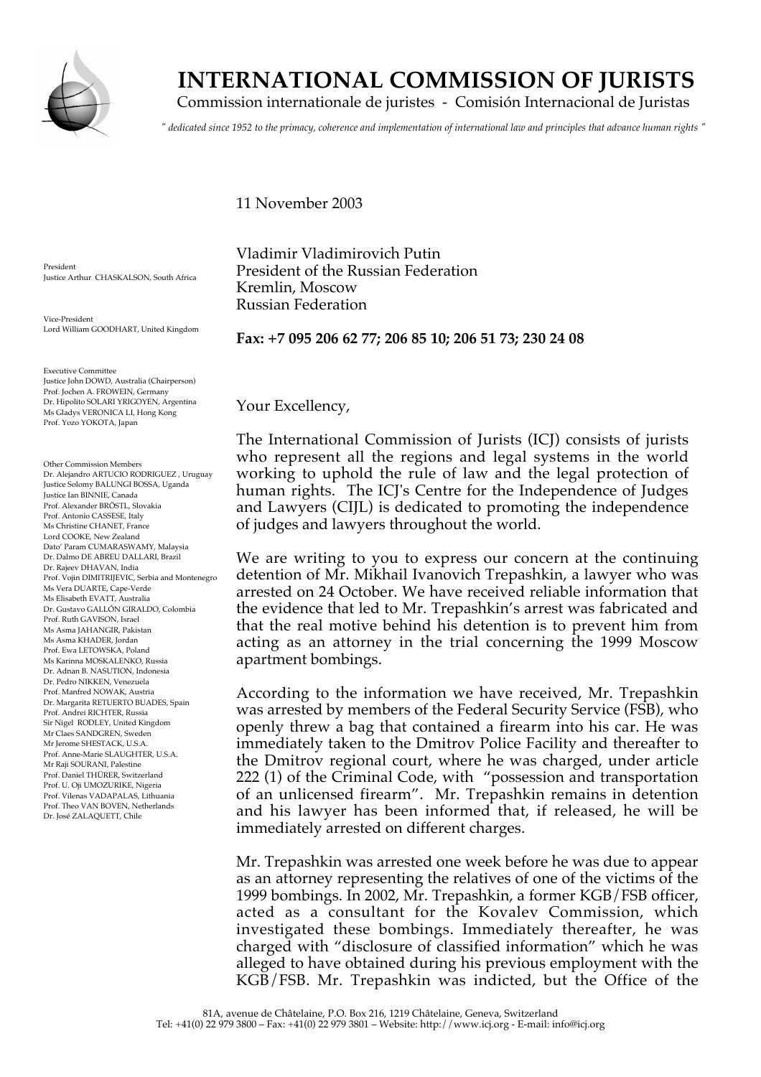

## **INTERNATIONAL COMMISSION OF JURISTS**

Commission internationale de juristes - Comisión Internacional de Juristas

*" dedicated since 1952 to the primacy, coherence and implementation of international law and principles that advance human rights "*

**Fax: +7 095 206 62 77; 206 85 10; 206 51 73; 230 24 08**

11 November 2003

Kremlin, Moscow Russian Federation

Vladimir Vladimirovich Putin President of the Russian Federation

President Justice Arthur CHASKALSON, South Africa

Vice-President Lord William GOODHART, United Kingdom

Executive Committee Justice John DOWD, Australia (Chairperson) Prof. Jochen A. FROWEIN, Germany Dr. Hipolito SOLARI YRIGOYEN, Argentina Ms Gladys VERONICA LI, Hong Kong Prof. Yozo YOKOTA, Japan

Other Commission Members Dr. Alejandro ARTUCIO RODRIGUEZ , Uruguay Justice Solomy BALUNGI BOSSA, Uganda Justice Ian BINNIE, Canada Prof. Alexander BRÖSTL, Slovakia Prof. Antonio CASSESE, Italy Ms Christine CHANET, France Lord COOKE, New Zealand Dato' Param CUMARASWAMY, Malaysia Dr. Dalmo DE ABREU DALLARI, Brazil Dr. Rajeev DHAVAN, India Prof. Vojin DIMITRIJEVIC, Serbia and Montenegro Ms Vera DUARTE, Cape-Verde Ms Elisabeth EVATT, Australia Dr. Gustavo GALLÓN GIRALDO, Colombia Prof. Ruth GAVISON, Israel Ms Asma JAHANGIR, Pakistan Ms Asma KHADER, Jordan Prof. Ewa LETOWSKA, Poland Ms Karinna MOSKALENKO, Russia Dr. Adnan B. NASUTION, Indonesia Dr. Pedro NIKKEN, Venezuela Prof. Manfred NOWAK, Austria Dr. Margarita RETUERTO BUADES, Spain Prof. Andrei RICHTER, Russia Sir Nigel RODLEY, United Kingdom Mr Claes SANDGREN, Sweden Mr Jerome SHESTACK, U.S.A. Prof. Anne-Marie SLAUGHTER, U.S.A. Mr Raji SOURANI, Palestine Prof. Daniel THÜRER, Switzerland Prof. U. Oji UMOZURIKE, Nigeria Prof. Vilenas VADAPALAS, Lithuania Prof. Theo VAN BOVEN, Netherlands Dr. José ZALAQUETT, Chile

Your Excellency,

The International Commission of Jurists (ICJ) consists of jurists who represent all the regions and legal systems in the world working to uphold the rule of law and the legal protection of human rights. The ICJ's Centre for the Independence of Judges and Lawyers (CIJL) is dedicated to promoting the independence of judges and lawyers throughout the world.

We are writing to you to express our concern at the continuing detention of Mr. Mikhail Ivanovich Trepashkin, a lawyer who was arrested on 24 October. We have received reliable information that the evidence that led to Mr. Trepashkin's arrest was fabricated and that the real motive behind his detention is to prevent him from acting as an attorney in the trial concerning the 1999 Moscow apartment bombings.

According to the information we have received, Mr. Trepashkin was arrested by members of the Federal Security Service (FSB), who openly threw a bag that contained a firearm into his car. He was immediately taken to the Dmitrov Police Facility and thereafter to the Dmitrov regional court, where he was charged, under article 222 (1) of the Criminal Code, with "possession and transportation of an unlicensed firearm". Mr. Trepashkin remains in detention and his lawyer has been informed that, if released, he will be immediately arrested on different charges.

Mr. Trepashkin was arrested one week before he was due to appear as an attorney representing the relatives of one of the victims of the 1999 bombings. In 2002, Mr. Trepashkin, a former KGB/FSB officer, acted as a consultant for the Kovalev Commission, which investigated these bombings. Immediately thereafter, he was charged with "disclosure of classified information" which he was alleged to have obtained during his previous employment with the KGB/FSB. Mr. Trepashkin was indicted, but the Office of the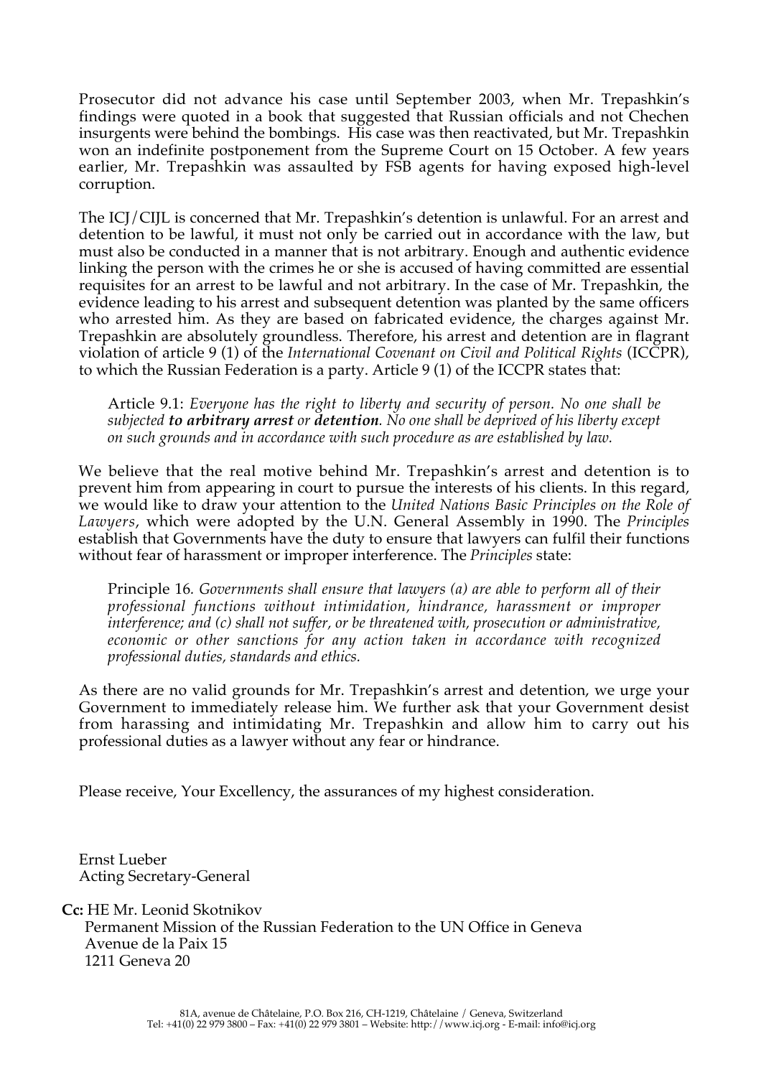Prosecutor did not advance his case until September 2003, when Mr. Trepashkin's findings were quoted in a book that suggested that Russian officials and not Chechen insurgents were behind the bombings. His case was then reactivated, but Mr. Trepashkin won an indefinite postponement from the Supreme Court on 15 October. A few years earlier, Mr. Trepashkin was assaulted by FSB agents for having exposed high-level corruption.

The ICJ/CIJL is concerned that Mr. Trepashkin's detention is unlawful. For an arrest and detention to be lawful, it must not only be carried out in accordance with the law, but must also be conducted in a manner that is not arbitrary. Enough and authentic evidence linking the person with the crimes he or she is accused of having committed are essential requisites for an arrest to be lawful and not arbitrary. In the case of Mr. Trepashkin, the evidence leading to his arrest and subsequent detention was planted by the same officers who arrested him. As they are based on fabricated evidence, the charges against Mr. Trepashkin are absolutely groundless. Therefore, his arrest and detention are in flagrant violation of article 9 (1) of the *International Covenant on Civil and Political Rights* (ICCPR), to which the Russian Federation is a party. Article 9 (1) of the ICCPR states that:

Article 9.1: *Everyone has the right to liberty and security of person. No one shall be subjected to arbitrary arrest or detention. No one shall be deprived of his liberty except on such grounds and in accordance with such procedure as are established by law.*

We believe that the real motive behind Mr. Trepashkin's arrest and detention is to prevent him from appearing in court to pursue the interests of his clients. In this regard, we would like to draw your attention to the *United Nations Basic Principles on the Role of Lawyers*, which were adopted by the U.N. General Assembly in 1990. The *Principles* establish that Governments have the duty to ensure that lawyers can fulfil their functions without fear of harassment or improper interference. The *Principles* state:

Principle 16*. Governments shall ensure that lawyers (a) are able to perform all of their professional functions without intimidation, hindrance, harassment or improper interference; and (c) shall not suffer, or be threatened with, prosecution or administrative, economic or other sanctions for any action taken in accordance with recognized professional duties, standards and ethics.*

As there are no valid grounds for Mr. Trepashkin's arrest and detention, we urge your Government to immediately release him. We further ask that your Government desist from harassing and intimidating Mr. Trepashkin and allow him to carry out his professional duties as a lawyer without any fear or hindrance.

Please receive, Your Excellency, the assurances of my highest consideration.

Ernst Lueber Acting Secretary-General

**Cc:** HE Mr. Leonid Skotnikov Permanent Mission of the Russian Federation to the UN Office in Geneva Avenue de la Paix 15 1211 Geneva 20